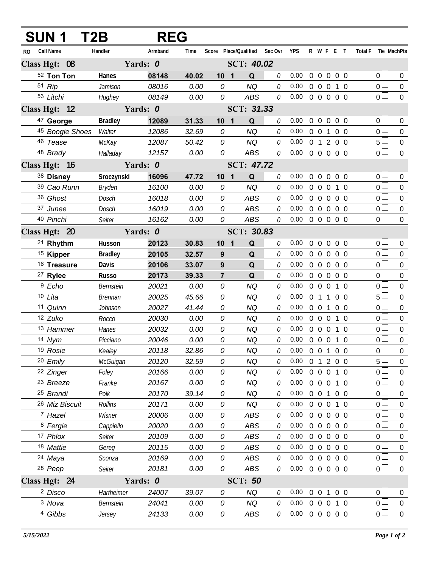|               | <b>SUN1</b>          |                 | T2B            | <b>REG</b> |            |                 |                       |         |                            |                |                   |                |                   |            |                     |                       |                  |
|---------------|----------------------|-----------------|----------------|------------|------------|-----------------|-----------------------|---------|----------------------------|----------------|-------------------|----------------|-------------------|------------|---------------------|-----------------------|------------------|
| RO.           | <b>Call Name</b>     |                 | Handler        | Armband    | Time       |                 | Score Place/Qualified | Sec Ovr | <b>YPS</b>                 |                | R W F E T         |                |                   |            | Total F Tie MachPts |                       |                  |
| Class Hgt: 08 |                      |                 |                | Yards: 0   |            |                 | SCT: 40.02            |         |                            |                |                   |                |                   |            |                     |                       |                  |
|               | 52 Ton Ton           |                 | Hanes          | 08148      | 40.02      | 10 <sub>1</sub> | Q                     | 0       | 0.00                       |                | 0 0 0 0 0         |                |                   |            |                     | 0 <sup>1</sup>        | $\overline{0}$   |
|               | 51 Rip               |                 | Jamison        | 08016      | 0.00       | 0               | <b>NQ</b>             | 0       | 0.00                       |                | $0\quad 0\quad 0$ |                |                   | 1 0        |                     | $\overline{0}$ $\Box$ | $\mathbf 0$      |
|               | 53 Litchi            |                 | Hughey         | 08149      | 0.00       | 0               | ABS                   | 0       | 0.00                       |                | 0 0 0 0 0         |                |                   |            |                     | 0 <sub>0</sub>        | $\mathbf 0$      |
| Class Hgt: 12 |                      |                 |                | Yards: 0   |            |                 | <b>SCT: 31.33</b>     |         |                            |                |                   |                |                   |            |                     |                       |                  |
|               | <sup>47</sup> George |                 | <b>Bradley</b> | 12089      | 31.33      | 10 <sub>1</sub> | Q                     | 0       | 0.00                       |                | 0 0 0 0 0         |                |                   |            |                     | 0 <sub>1</sub>        | 0                |
|               |                      | 45 Boogie Shoes | Walter         | 12086      | 32.69      | 0               | <b>NQ</b>             | 0       | 0.00                       |                | $0 \t0 \t1$       |                |                   | $0\quad 0$ |                     | 0 <sub>1</sub>        | $\boldsymbol{0}$ |
|               | 46 Tease             |                 | McKay          | 12087      | 50.42      | 0               | <b>NQ</b>             | 0       | 0.00                       |                | 0 1 2 0 0         |                |                   |            |                     | 5 <sub>1</sub>        | $\boldsymbol{0}$ |
|               | 48 Brady             |                 | Halladay       | 12157      | 0.00       | 0               | ABS                   | 0       | 0.00                       |                | 0 0 0 0 0         |                |                   |            |                     | $\overline{0}$        | $\mathbf 0$      |
| Class Hgt: 16 |                      |                 | Yards: 0       |            | SCT: 47.72 |                 |                       |         |                            |                |                   |                |                   |            |                     |                       |                  |
|               | 38 Disney            |                 | Sroczynski     | 16096      | 47.72      | 10 <sub>1</sub> | Q                     | 0       | 0.00                       | $\overline{0}$ | $\overline{0}$    | $\overline{0}$ | $0\quad 0$        |            |                     | 0 <sub>0</sub>        | $\boldsymbol{0}$ |
|               | 39 Cao Runn          |                 | <b>Bryden</b>  | 16100      | 0.00       | 0               | <b>NQ</b>             | 0       | 0.00                       |                | $0\quad 0$        | $\mathbf 0$    |                   | $1\quad0$  |                     | 0 <sup>1</sup>        | $\boldsymbol{0}$ |
|               | 36 Ghost             |                 | Dosch          | 16018      | 0.00       | 0               | ABS                   | 0       | 0.00                       |                | $0\quad 0\quad 0$ |                | $0\quad 0$        |            |                     | 0 <sub>0</sub>        | $\mathbf 0$      |
|               | 37 Junee             |                 | Dosch          | 16019      | 0.00       | 0               | ABS                   | 0       | 0.00                       |                | $0\quad 0$        |                | $0\quad 0\quad 0$ |            |                     | 0 <sup>1</sup>        | $\boldsymbol{0}$ |
|               | 40 Pinchi            |                 | Seiter         | 16162      | 0.00       | 0               | ABS                   | 0       | $0.00 \t0 \t0 \t0 \t0 \t0$ |                |                   |                |                   |            |                     | 0 <sup>2</sup>        | $\overline{0}$   |
| Class Hgt: 20 |                      |                 |                | Yards: 0   |            |                 | SCT: 30.83            |         |                            |                |                   |                |                   |            |                     |                       |                  |
|               | 21 Rhythm            |                 | Husson         | 20123      | 30.83      | 10 <sub>1</sub> | Q                     | 0       | 0.00                       |                | 0 0 0 0 0         |                |                   |            |                     | 0 <sub>0</sub>        | $\theta$         |
|               | <sup>15</sup> Kipper |                 | <b>Bradley</b> | 20105      | 32.57      | 9               | Q                     | 0       | 0.00                       |                | 0 0 0 0 0         |                |                   |            |                     | $\overline{0}$        | $\mathbf 0$      |
|               | 16 Treasure          |                 | Davis          | 20106      | 33.07      | 9               | Q                     | 0       | 0.00                       |                | 00000             |                |                   |            |                     | 0 <sup>1</sup>        | $\boldsymbol{0}$ |
|               | <sup>27</sup> Rylee  |                 | <b>Russo</b>   | 20173      | 39.33      | $\overline{7}$  | Q                     | 0       | 0.00                       |                | 0 0 0 0 0         |                |                   |            |                     | $\overline{0}$        | $\mathbf 0$      |
|               | <sup>9</sup> Echo    |                 | Bernstein      | 20021      | 0.00       | 0               | <b>NQ</b>             | 0       | 0.00                       |                | $0\quad 0\quad 0$ |                |                   | $1\quad0$  |                     | $\overline{0}$        | $\boldsymbol{0}$ |
|               | 10 Lita              |                 | <b>Brennan</b> | 20025      | 45.66      | 0               | <b>NQ</b>             | 0       | 0.00                       |                | $0 \t1 \t1$       |                | $0\quad 0$        |            |                     | $5 \Box$              | $\mathbf 0$      |
|               | 11 Quinn             |                 | Johnson        | 20027      | 41.44      | 0               | <b>NQ</b>             | 0       | 0.00                       |                | $0 \t0 \t1$       |                | $0\quad 0$        |            |                     | $0\square$            | $\boldsymbol{0}$ |
|               | 12 Zuko              |                 | Rocco          | 20030      | 0.00       | 0               | <b>NQ</b>             | 0       | 0.00                       |                | $0\quad 0\quad 0$ |                | $1\quad0$         |            |                     | 0 <sub>0</sub>        | $\mathbf 0$      |
|               | 13 Hammer            |                 | Hanes          | 20032      | 0.00       | 0               | <b>NQ</b>             | 0       | 0.00                       |                | $0\quad 0\quad 0$ |                |                   | $1\quad0$  |                     | 0 <sub>0</sub>        | $\boldsymbol{0}$ |
|               | 14 Nym               |                 | Picciano       | 20046      | 0.00       | 0               | <b>NQ</b>             | 0       | 0.00                       |                | 0 0 0 1 0         |                |                   |            |                     | 0 <sub>0</sub>        | $\boldsymbol{0}$ |
|               | 19 Rosie             |                 | Kealey         | 20118      | 32.86      | 0               | NQ                    | 0       | 0.00                       |                | $0\quad 0$        | $\overline{1}$ | 0 <sub>0</sub>    |            |                     | $\overline{0}$        | 0                |
|               | 20 Emily             |                 | McGuigan       | 20120      | 32.59      | 0               | <b>NQ</b>             | 0       | 0.00                       |                | 0 <sub>1</sub>    |                | 200               |            |                     | $5\Box$               | $\overline{0}$   |
|               | 22 Zinger            |                 | Foley          | 20166      | 0.00       | 0               | <b>NQ</b>             | 0       | 0.00                       |                | $0\quad 0$        | $\mathbf 0$    |                   | $1\quad0$  |                     | 0 <sup>L</sup>        | 0                |
|               | 23 Breeze            |                 | Franke         | 20167      | 0.00       | 0               | <b>NQ</b>             | 0       | 0.00                       |                | 0 0 0 1 0         |                |                   |            |                     | 0 <sup>1</sup>        | $\boldsymbol{0}$ |
|               | 25 Brandi            |                 | Polk           | 20170      | 39.14      | 0               | <b>NQ</b>             | 0       | 0.00                       |                | $0\quad 0$        |                | 1 0 0             |            |                     | 0 <sup>L</sup>        | 0                |
|               | 26 Miz Biscuit       |                 | Rollins        | 20171      | 0.00       | 0               | <b>NQ</b>             | 0       | 0.00                       |                | $0\quad 0$        | $\overline{0}$ | $1\quad0$         |            |                     | 0 <sup>1</sup>        | $\overline{0}$   |
|               | 7 Hazel              |                 | Wisner         | 20006      | 0.00       | 0               | ABS                   | 0       | 0.00                       |                | 0 <sub>0</sub>    |                | $0\quad 0\quad 0$ |            |                     | 0 <sup>L</sup>        | $\overline{0}$   |
|               | <sup>8</sup> Fergie  |                 | Cappiello      | 20020      | 0.00       | 0               | ABS                   | 0       | 0.00                       |                | 00000             |                |                   |            |                     | 0 <sup>L</sup>        | $\overline{0}$   |
|               | 17 Phlox             |                 | Seiter         | 20109      | 0.00       | 0               | ABS                   | 0       | 0.00                       |                | $0\quad 0$        | $\overline{0}$ | $0\quad 0$        |            |                     | 0 <sup>L</sup>        | 0                |
|               | 18 Mattie            |                 | Gereg          | 20115      | 0.00       | 0               | ABS                   | 0       | 0.00                       |                | $0\quad 0$        |                | $0\quad 0\quad 0$ |            |                     | 0 <sub>0</sub>        | $\overline{0}$   |
|               | 24 Maya              |                 | Sconza         | 20169      | 0.00       | 0               | ABS                   | 0       | 0.00                       |                | 0 <sub>0</sub>    | $\mathbf{0}$   | $0\quad 0$        |            |                     | 0 L                   | $\overline{0}$   |
|               | 28 Peep              |                 | Seiter         | 20181      | 0.00       | 0               | ABS                   | 0       | 0.00                       |                | 0 0 0 0 0         |                |                   |            |                     | 0 <sup>1</sup>        | $\mathbf 0$      |
| Class Hgt: 24 |                      |                 |                | Yards: 0   |            |                 | <b>SCT: 50</b>        |         |                            |                |                   |                |                   |            |                     |                       |                  |
|               | <sup>2</sup> Disco   |                 | Hartheimer     | 24007      | 39.07      | 0               | <b>NQ</b>             | 0       | 0.00                       |                | 0 0 1 0 0         |                |                   |            |                     | 0 <sub>0</sub>        | $\overline{0}$   |
|               | 3 Nova               |                 | Bernstein      | 24041      | 0.00       | 0               | <b>NQ</b>             | 0       | 0.00                       |                | 0 0 0 1 0         |                |                   |            |                     | $\overline{0}$        | $\overline{0}$   |
|               | 4 Gibbs              |                 | Jersey         | 24133      | 0.00       | 0               | ABS                   | 0       | 0.00                       |                | 0 0 0 0 0         |                |                   |            |                     | 0 <sub>0</sub>        | $\overline{0}$   |